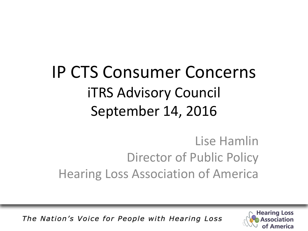#### IP CTS Consumer Concerns iTRS Advisory Council September 14, 2016

#### Lise Hamlin Director of Public Policy Hearing Loss Association of America

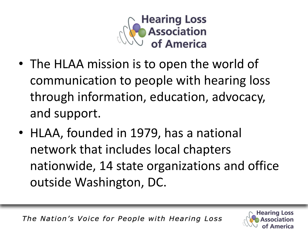

- The HLAA mission is to open the world of communication to people with hearing loss through information, education, advocacy, and support.
- HLAA, founded in 1979, has a national network that includes local chapters nationwide, 14 state organizations and office outside Washington, DC.

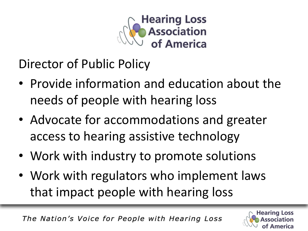

Director of Public Policy

- Provide information and education about the needs of people with hearing loss
- Advocate for accommodations and greater access to hearing assistive technology
- Work with industry to promote solutions
- Work with regulators who implement laws that impact people with hearing loss

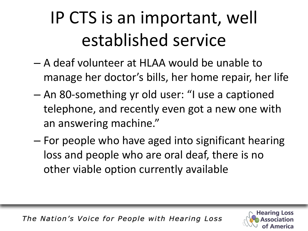# IP CTS is an important, well established service

- A deaf volunteer at HLAA would be unable to manage her doctor's bills, her home repair, her life
- An 80-something yr old user: "I use a captioned telephone, and recently even got a new one with an answering machine."
- For people who have aged into significant hearing loss and people who are oral deaf, there is no other viable option currently available

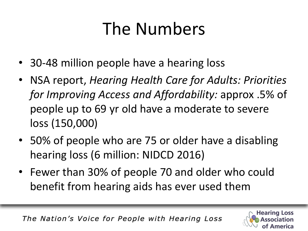## The Numbers

- 30-48 million people have a hearing loss
- NSA report, *Hearing Health Care for Adults: Priorities for Improving Access and Affordability:* approx .5% of people up to 69 yr old have a moderate to severe loss (150,000)
- 50% of people who are 75 or older have a disabling hearing loss (6 million: NIDCD 2016)
- Fewer than 30% of people 70 and older who could benefit from hearing aids has ever used them

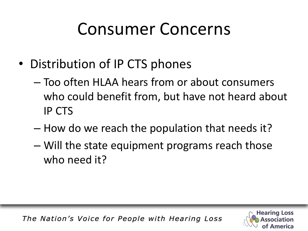#### Consumer Concerns

- Distribution of IP CTS phones
	- Too often HLAA hears from or about consumers who could benefit from, but have not heard about IP CTS
	- How do we reach the population that needs it?
	- Will the state equipment programs reach those who need it?

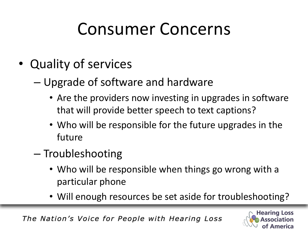### Consumer Concerns

- Quality of services
	- Upgrade of software and hardware
		- Are the providers now investing in upgrades in software that will provide better speech to text captions?
		- Who will be responsible for the future upgrades in the future
	- Troubleshooting
		- Who will be responsible when things go wrong with a particular phone
		- Will enough resources be set aside for troubleshooting?

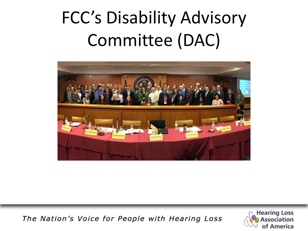# FCC's Disability Advisory Committee (DAC)



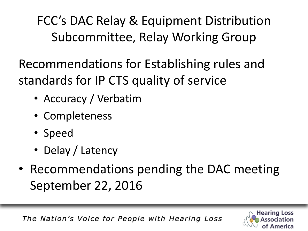FCC's DAC Relay & Equipment Distribution Subcommittee, Relay Working Group

Recommendations for Establishing rules and standards for IP CTS quality of service

- Accuracy / Verbatim
- Completeness
- Speed
- Delay / Latency
- Recommendations pending the DAC meeting September 22, 2016

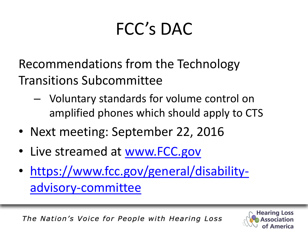# FCC's DAC

Recommendations from the Technology Transitions Subcommittee

- Voluntary standards for volume control on amplified phones which should apply to CTS
- Next meeting: September 22, 2016
- Live streamed at [www.FCC.gov](http://www.fcc.gov/)
- [https://www.fcc.gov/general/disability](https://www.fcc.gov/general/disability-advisory-committee)[advisory-committee](https://www.fcc.gov/general/disability-advisory-committee)

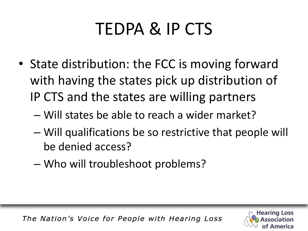## TEDPA & IP CTS

- State distribution: the FCC is moving forward with having the states pick up distribution of IP CTS and the states are willing partners
	- Will states be able to reach a wider market?
	- Will qualifications be so restrictive that people will be denied access?
	- Who will troubleshoot problems?

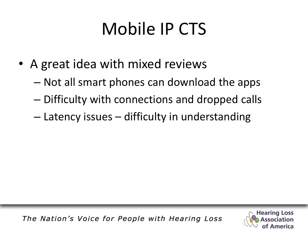# Mobile IP CTS

- A great idea with mixed reviews
	- Not all smart phones can download the apps
	- Difficulty with connections and dropped calls
	- Latency issues difficulty in understanding

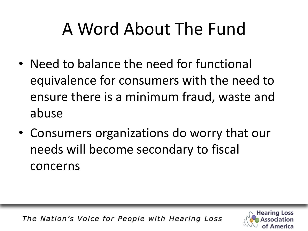## A Word About The Fund

- Need to balance the need for functional equivalence for consumers with the need to ensure there is a minimum fraud, waste and abuse
- Consumers organizations do worry that our needs will become secondary to fiscal concerns